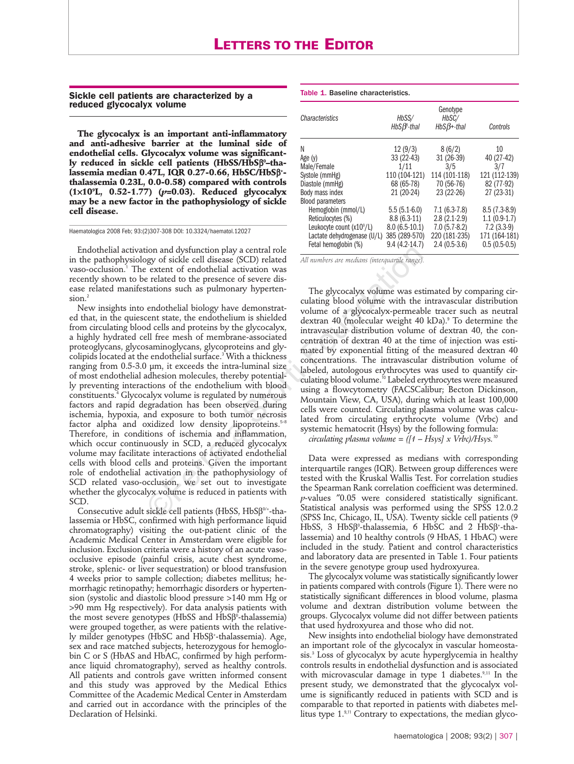**Sickle cell patients are characterized by a reduced glycocalyx volume**

**The glycocalyx is an important anti-inflammatory and anti-adhesive barrier at the luminal side of endothelial cells. Glycocalyx volume was significantly reduced in sickle cell patients (HbSS/HbS**β**<sup>0</sup> –thalassemia median 0.47L, IQR 0.27-0.66, HbSC/HbS**β**<sup>+</sup> thalassemia 0.23L, 0.0-0.58) compared with controls (1**×**109 L, 0.52-1.77) (***p***=0.03). Reduced glycocalyx may be a new factor in the pathophysiology of sickle cell disease.** 

Haematologica 2008 Feb; 93:(2)307-308 DOI: 10.3324/haematol.12027

Endothelial activation and dysfunction play a central role in the pathophysiology of sickle cell disease (SCD) related vaso-occlusion.<sup>1</sup> The extent of endothelial activation was recently shown to be related to the presence of severe disease related manifestations such as pulmonary hypertension.<sup>2</sup>

New insights into endothelial biology have demonstrated that, in the quiescent state, the endothelium is shielded from circulating blood cells and proteins by the glycocalyx, a highly hydrated cell free mesh of membrane-associated proteoglycans, glycosaminoglycans, glycoproteins and glycolipids located at the endothelial surface.<sup>3</sup> With a thickness ranging from  $0.5$ -3.0  $\mu$ m, it exceeds the intra-luminal size of most endothelial adhesion molecules, thereby potentially preventing interactions of the endothelium with blood constituents.<sup>4</sup> Glycocalyx volume is regulated by numerous factors and rapid degradation has been observed during ischemia, hypoxia, and exposure to both tumor necrosis factor alpha and oxidized low density lipoproteins.<sup>5-8</sup> Therefore, in conditions of ischemia and inflammation, which occur continuously in SCD, a reduced glycocalyx volume may facilitate interactions of activated endothelial cells with blood cells and proteins. Given the important role of endothelial activation in the pathophysiology of SCD related vaso-occlusion, we set out to investigate whether the glycocalyx volume is reduced in patients with SCD. cion and dysfunction play a central role<br>
extent eff endidiesase (SCD) related of the model and *M mumbers are medians (interagramile range)*<br>
extent of endothelial activation was<br>
extent of endothelial sactivation was<br>
e

Consecutive adult sickle cell patients (HbSS, HbSβ<sup>0/+</sup>-thalassemia or HbSC, confirmed with high performance liquid chromatography) visiting the out-patient clinic of the Academic Medical Center in Amsterdam were eligible for inclusion. Exclusion criteria were a history of an acute vasoocclusive episode (painful crisis, acute chest syndrome, stroke, splenic- or liver sequestration) or blood transfusion 4 weeks prior to sample collection; diabetes mellitus; hemorrhagic retinopathy; hemorrhagic disorders or hypertension (systolic and diastolic blood pressure >140 mm Hg or >90 mm Hg respectively). For data analysis patients with the most severe genotypes (HbSS and HbSβ<sup>0</sup>-thalassemia) were grouped together, as were patients with the relatively milder genotypes (HbSC and HbSβ<sup>+</sup> -thalassemia). Age, sex and race matched subjects, heterozygous for hemoglobin C or S (HbAS and HbAC, confirmed by high performance liquid chromatography), served as healthy controls. All patients and controls gave written informed consent and this study was approved by the Medical Ethics Committee of the Academic Medical Center in Amsterdam and carried out in accordance with the principles of the Declaration of Helsinki.

## Table 1. Baseline characteristics.

| Characteristics                   | Genotype                          |                       |                |
|-----------------------------------|-----------------------------------|-----------------------|----------------|
|                                   | HbSS/<br>$HbS\beta^{\circ}$ -thal | HbSC/<br>$HbSB+-thal$ | Controls       |
| Ν                                 | 12(9/3)                           | 8(6/2)                | 10             |
| Age $(y)$                         | 33 (22-43)                        | $31(26-39)$           | 40 (27-42)     |
| Male/Female                       | 1/11                              | 3/5                   | 3/7            |
| Systole (mmHg)                    | 110 (104-121)                     | 114 (101-118)         | 121 (112-139)  |
| Diastole (mmHg)                   | 68 (65-78)                        | 70 (56-76)            | 82 (77-92)     |
| Body mass index                   | 21 (20-24)                        | 23 (22-26)            | 27 (23-31)     |
| <b>Blood parameters</b>           |                                   |                       |                |
| Hemoglobin (mmol/L)               | $5.5(5.1-6.0)$                    | $7.1(6.3-7.8)$        | $8.5(7.3-8.9)$ |
| Reticulocytes (%)                 | $8.8(6.3-11)$                     | $2.8(2.1-2.9)$        | $1.1(0.9-1.7)$ |
| Leukocyte count $(x10^{\circ}/L)$ | $8.0(6.5-10.1)$                   | $7.0(5.7-8.2)$        | $7.2(3.3-9)$   |
| Lactate dehydrogenase (U/L)       | 385 (289-570)                     | 220 (181-235)         | 171 (164-181)  |
| Fetal hemoglobin (%)              | $9.4(4.2-14.7)$                   | $2.4(0.5-3.6)$        | $0.5(0.5-0.5)$ |

*All numbers are medians (interquartile range).* 

The glycocalyx volume was estimated by comparing circulating blood volume with the intravascular distribution volume of a glycocalyx-permeable tracer such as neutral dextran 40 (molecular weight 40 kDa).<sup>9</sup> To determine the intravascular distribution volume of dextran 40, the concentration of dextran 40 at the time of injection was estimated by exponential fitting of the measured dextran 40 concentrations. The intravascular distribution volume of labeled, autologous erythrocytes was used to quantify circulating blood volume.<sup>10</sup> Labeled erythrocytes were measured using a flowcytometry (FACSCalibur; Becton Dickinson, Mountain View, CA, USA), during which at least 100,000 cells were counted. Circulating plasma volume was calculated from circulating erythrocyte volume (Vrbc) and systemic hematocrit (Hsys) by the following formula: *circulating plasma volume = ([1 – Hsys] x Vrbc)/Hsys.<sup>10</sup>*

Data were expressed as medians with corresponding interquartile ranges (IQR). Between group differences were tested with the Kruskal Wallis Test. For correlation studies the Spearman Rank correlation coefficient was determined. *p*-values ″0.05 were considered statistically significant. Statistical analysis was performed using the SPSS 12.0.2 (SPSS Inc, Chicago, IL, USA). Twenty sickle cell patients (9 HbSS, 3 HbSβ<sup>0</sup>-thalassemia, 6 HbSC and 2 HbSβ<sup>+</sup>-thalassemia) and 10 healthy controls (9 HbAS, 1 HbAC) were included in the study. Patient and control characteristics and laboratory data are presented in Table 1. Four patients in the severe genotype group used hydroxyurea.

The glycocalyx volume was statistically significantly lower in patients compared with controls (Figure 1). There were no statistically significant differences in blood volume, plasma volume and dextran distribution volume between the groups. Glycocalyx volume did not differ between patients that used hydroxyurea and those who did not.

New insights into endothelial biology have demonstrated an important role of the glycocalyx in vascular homeostasis.3 Loss of glycocalyx by acute hyperglycemia in healthy controls results in endothelial dysfunction and is associated with microvascular damage in type 1 diabetes.<sup>9,11</sup> In the present study, we demonstrated that the glycocalyx volume is significantly reduced in patients with SCD and is comparable to that reported in patients with diabetes mellitus type 1.9,11 Contrary to expectations, the median glyco-